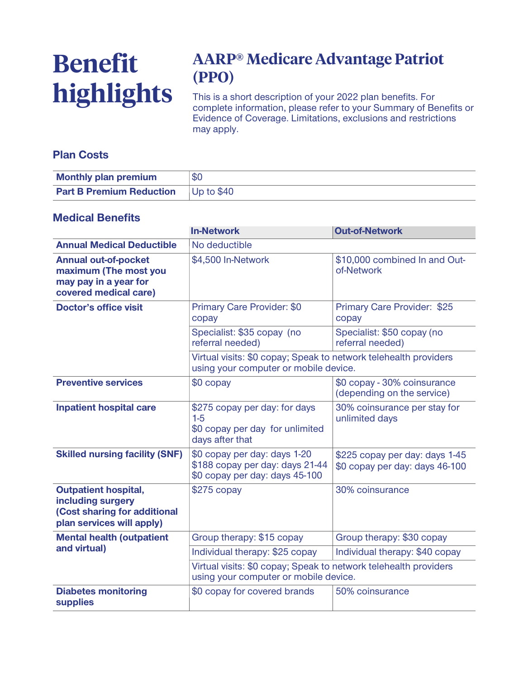# **Benefit highlights**

## **AARP® Medicare Advantage Patriot (PPO)**

**This is a short description of your 2022 plan benefits. For complete information, please refer to your Summary of Benefits or Evidence of Coverage. Limitations, exclusions and restrictions may apply.**

#### **Plan Costs**

| <b>Monthly plan premium</b>                | \$C |
|--------------------------------------------|-----|
| <b>Part B Premium Reduction</b> Up to \$40 |     |

#### **Medical Benefits**

|                                                                                                               | <b>In-Network</b>                                                                                         | <b>Out-of-Network</b>                                            |  |
|---------------------------------------------------------------------------------------------------------------|-----------------------------------------------------------------------------------------------------------|------------------------------------------------------------------|--|
| <b>Annual Medical Deductible</b>                                                                              | No deductible                                                                                             |                                                                  |  |
| <b>Annual out-of-pocket</b><br>maximum (The most you<br>may pay in a year for<br>covered medical care)        | \$4,500 In-Network                                                                                        | \$10,000 combined In and Out-<br>of-Network                      |  |
| <b>Doctor's office visit</b>                                                                                  | <b>Primary Care Provider: \$0</b><br>copay                                                                | Primary Care Provider: \$25<br>copay                             |  |
|                                                                                                               | Specialist: \$35 copay (no<br>referral needed)                                                            | Specialist: \$50 copay (no<br>referral needed)                   |  |
|                                                                                                               | Virtual visits: \$0 copay; Speak to network telehealth providers<br>using your computer or mobile device. |                                                                  |  |
| <b>Preventive services</b>                                                                                    | \$0 copay                                                                                                 | \$0 copay - 30% coinsurance<br>(depending on the service)        |  |
| <b>Inpatient hospital care</b>                                                                                | \$275 copay per day: for days<br>$1-5$<br>\$0 copay per day for unlimited<br>days after that              | 30% coinsurance per stay for<br>unlimited days                   |  |
| <b>Skilled nursing facility (SNF)</b>                                                                         | \$0 copay per day: days 1-20<br>\$188 copay per day: days 21-44<br>\$0 copay per day: days 45-100         | \$225 copay per day: days 1-45<br>\$0 copay per day: days 46-100 |  |
| <b>Outpatient hospital,</b><br>including surgery<br>(Cost sharing for additional<br>plan services will apply) | $$275$ copay                                                                                              | 30% coinsurance                                                  |  |
| <b>Mental health (outpatient</b><br>and virtual)                                                              | Group therapy: \$15 copay                                                                                 | Group therapy: \$30 copay                                        |  |
|                                                                                                               | Individual therapy: \$25 copay                                                                            | Individual therapy: \$40 copay                                   |  |
|                                                                                                               | Virtual visits: \$0 copay; Speak to network telehealth providers<br>using your computer or mobile device. |                                                                  |  |
| <b>Diabetes monitoring</b><br><b>supplies</b>                                                                 | \$0 copay for covered brands                                                                              | 50% coinsurance                                                  |  |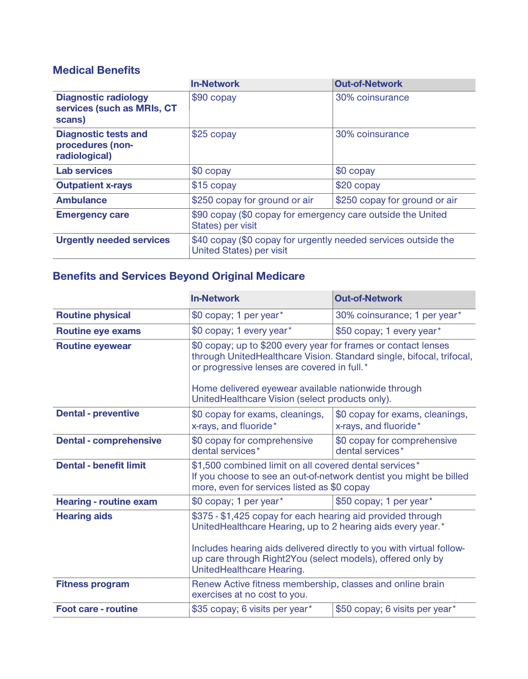### **Medical Benefits**

|                                                                     | <b>In-Network</b>                                                                                 | <b>Out-of-Network</b>         |
|---------------------------------------------------------------------|---------------------------------------------------------------------------------------------------|-------------------------------|
| <b>Diagnostic radiology</b><br>services (such as MRIs, CT<br>scans) | $$90$ copay                                                                                       | 30% coinsurance               |
| <b>Diagnostic tests and</b><br>procedures (non-<br>radiological)    | \$25 copay                                                                                        | 30% coinsurance               |
| <b>Lab services</b>                                                 | \$0 copay                                                                                         | \$0 copay                     |
| <b>Outpatient x-rays</b>                                            | $$15$ copay                                                                                       | $$20$ copay                   |
| <b>Ambulance</b>                                                    | \$250 copay for ground or air                                                                     | \$250 copay for ground or air |
| <b>Emergency care</b>                                               | \$90 copay (\$0 copay for emergency care outside the United<br>States) per visit                  |                               |
| <b>Urgently needed services</b>                                     | \$40 copay (\$0 copay for urgently needed services outside the<br><b>United States) per visit</b> |                               |

## **Benefits and Services Beyond Original Medicare**

|                               | <b>In-Network</b>                                                                                                                                                                                                                                                | <b>Out-of-Network</b>                                    |  |
|-------------------------------|------------------------------------------------------------------------------------------------------------------------------------------------------------------------------------------------------------------------------------------------------------------|----------------------------------------------------------|--|
| <b>Routine physical</b>       | \$0 copay; 1 per year*                                                                                                                                                                                                                                           | 30% coinsurance; 1 per year*                             |  |
| <b>Routine eye exams</b>      | \$0 copay; 1 every year*                                                                                                                                                                                                                                         | \$50 copay; 1 every year*                                |  |
| <b>Routine eyewear</b>        | \$0 copay; up to \$200 every year for frames or contact lenses<br>through UnitedHealthcare Vision. Standard single, bifocal, trifocal,<br>or progressive lenses are covered in full.*                                                                            |                                                          |  |
|                               | Home delivered eyewear available nationwide through<br>UnitedHealthcare Vision (select products only).                                                                                                                                                           |                                                          |  |
| <b>Dental - preventive</b>    | \$0 copay for exams, cleanings,<br>x-rays, and fluoride*                                                                                                                                                                                                         | \$0 copay for exams, cleanings,<br>x-rays, and fluoride* |  |
| <b>Dental - comprehensive</b> | \$0 copay for comprehensive<br>dental services*                                                                                                                                                                                                                  | \$0 copay for comprehensive<br>dental services*          |  |
| <b>Dental - benefit limit</b> | \$1,500 combined limit on all covered dental services*<br>If you choose to see an out-of-network dentist you might be billed<br>more, even for services listed as \$0 copay                                                                                      |                                                          |  |
| <b>Hearing - routine exam</b> | \$0 copay; 1 per year*                                                                                                                                                                                                                                           | \$50 copay; 1 per year*                                  |  |
| <b>Hearing aids</b>           | \$375 - \$1,425 copay for each hearing aid provided through<br>UnitedHealthcare Hearing, up to 2 hearing aids every year.*<br>Includes hearing aids delivered directly to you with virtual follow-<br>up care through Right2You (select models), offered only by |                                                          |  |
|                               | UnitedHealthcare Hearing.                                                                                                                                                                                                                                        |                                                          |  |
| <b>Fitness program</b>        | Renew Active fitness membership, classes and online brain<br>exercises at no cost to you.                                                                                                                                                                        |                                                          |  |
| <b>Foot care - routine</b>    | \$35 copay; 6 visits per year*                                                                                                                                                                                                                                   | \$50 copay; 6 visits per year*                           |  |